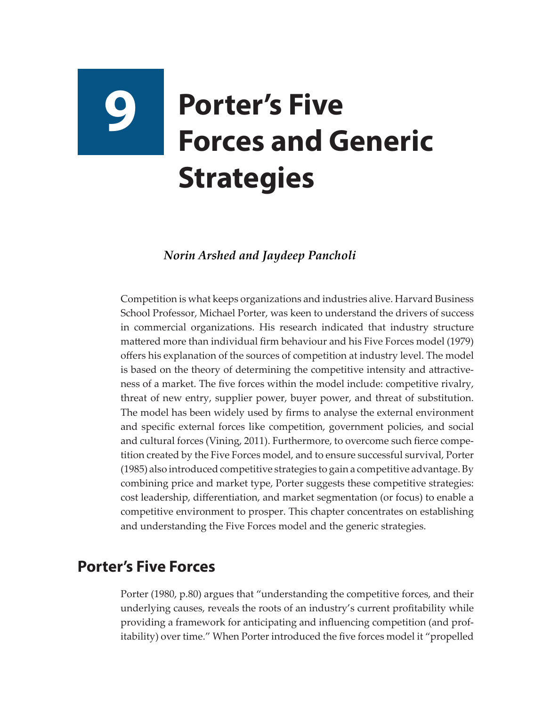# **9 Porter's Five Forces and Generic Strategies**

#### *Norin Arshed and Jaydeep Pancholi*

Competition is what keeps organizations and industries alive. Harvard Business School Professor, Michael Porter, was keen to understand the drivers of success in commercial organizations. His research indicated that industry structure mattered more than individual firm behaviour and his Five Forces model (1979) offers his explanation of the sources of competition at industry level. The model is based on the theory of determining the competitive intensity and attractiveness of a market. The five forces within the model include: competitive rivalry, threat of new entry, supplier power, buyer power, and threat of substitution. The model has been widely used by firms to analyse the external environment and specific external forces like competition, government policies, and social and cultural forces (Vining, 2011). Furthermore, to overcome such fierce competition created by the Five Forces model, and to ensure successful survival, Porter (1985) also introduced competitive strategies to gain a competitive advantage. By combining price and market type, Porter suggests these competitive strategies: cost leadership, differentiation, and market segmentation (or focus) to enable a competitive environment to prosper. This chapter concentrates on establishing and understanding the Five Forces model and the generic strategies.

## **Porter's Five Forces**

Porter (1980, p.80) argues that "understanding the competitive forces, and their underlying causes, reveals the roots of an industry's current profitability while providing a framework for anticipating and influencing competition (and profitability) over time." When Porter introduced the five forces model it "propelled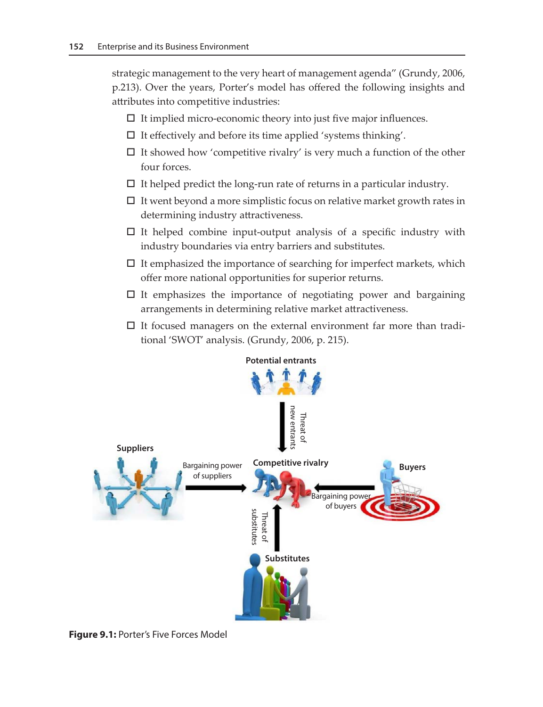strategic management to the very heart of management agenda" (Grundy, 2006, p.213). Over the years, Porter's model has offered the following insights and attributes into competitive industries:

- $\Box$  It implied micro-economic theory into just five major influences.
- $\square$  It effectively and before its time applied 'systems thinking'.
- $\Box$  It showed how 'competitive rivalry' is very much a function of the other four forces.
- $\Box$  It helped predict the long-run rate of returns in a particular industry.
- $\Box$  It went beyond a more simplistic focus on relative market growth rates in determining industry attractiveness.
- $\Box$  It helped combine input-output analysis of a specific industry with industry boundaries via entry barriers and substitutes.
- $\square$  It emphasized the importance of searching for imperfect markets, which offer more national opportunities for superior returns.
- $\Box$  It emphasizes the importance of negotiating power and bargaining arrangements in determining relative market attractiveness.
- $\Box$  It focused managers on the external environment far more than traditional 'SWOT' analysis. (Grundy, 2006, p. 215).



**Figure 9.1:** Porter's Five Forces Model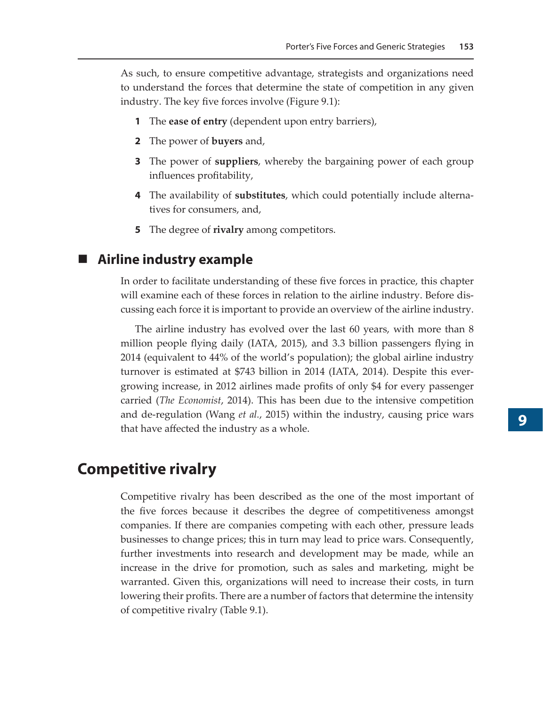As such, to ensure competitive advantage, strategists and organizations need to understand the forces that determine the state of competition in any given industry. The key five forces involve (Figure 9.1):

- **1** The **ease of entry** (dependent upon entry barriers),
- **2** The power of **buyers** and,
- **3** The power of **suppliers**, whereby the bargaining power of each group influences profitability,
- **4** The availability of **substitutes**, which could potentially include alternatives for consumers, and,
- **5** The degree of **rivalry** among competitors.

#### **Airline industry example**

In order to facilitate understanding of these five forces in practice, this chapter will examine each of these forces in relation to the airline industry. Before discussing each force it is important to provide an overview of the airline industry.

The airline industry has evolved over the last 60 years, with more than 8 million people flying daily (IATA, 2015), and 3.3 billion passengers flying in 2014 (equivalent to 44% of the world's population); the global airline industry turnover is estimated at \$743 billion in 2014 (IATA, 2014). Despite this evergrowing increase, in 2012 airlines made profits of only \$4 for every passenger carried (*The Economist*, 2014). This has been due to the intensive competition and de-regulation (Wang *et al.*, 2015) within the industry, causing price wars that have affected the industry as a whole.

## **Competitive rivalry**

Competitive rivalry has been described as the one of the most important of the five forces because it describes the degree of competitiveness amongst companies. If there are companies competing with each other, pressure leads businesses to change prices; this in turn may lead to price wars. Consequently, further investments into research and development may be made, while an increase in the drive for promotion, such as sales and marketing, might be warranted. Given this, organizations will need to increase their costs, in turn lowering their profits. There are a number of factors that determine the intensity of competitive rivalry (Table 9.1).